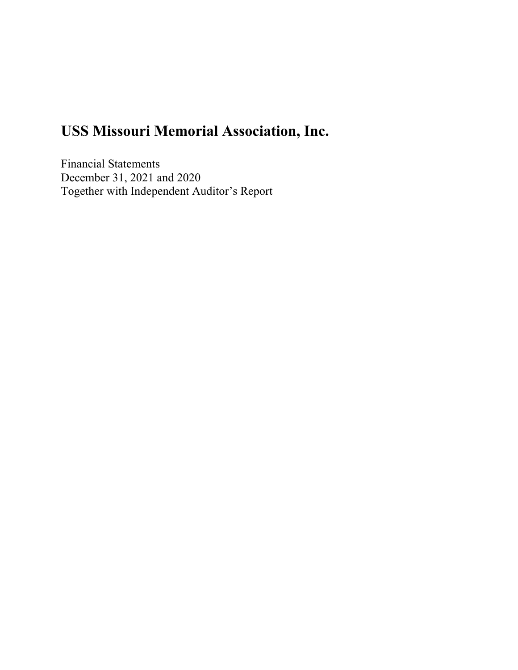Financial Statements December 31, 2021 and 2020 Together with Independent Auditor's Report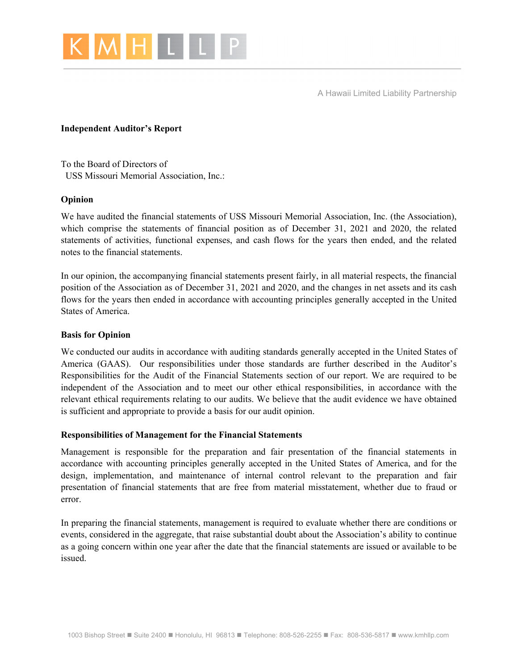

A Hawaii Limited Liability Partnership

#### **Independent Auditor's Report**

To the Board of Directors of USS Missouri Memorial Association, Inc.:

#### **Opinion**

We have audited the financial statements of USS Missouri Memorial Association, Inc. (the Association), which comprise the statements of financial position as of December 31, 2021 and 2020, the related statements of activities, functional expenses, and cash flows for the years then ended, and the related notes to the financial statements.

In our opinion, the accompanying financial statements present fairly, in all material respects, the financial position of the Association as of December 31, 2021 and 2020, and the changes in net assets and its cash flows for the years then ended in accordance with accounting principles generally accepted in the United States of America.

#### **Basis for Opinion**

We conducted our audits in accordance with auditing standards generally accepted in the United States of America (GAAS). Our responsibilities under those standards are further described in the Auditor's Responsibilities for the Audit of the Financial Statements section of our report. We are required to be independent of the Association and to meet our other ethical responsibilities, in accordance with the relevant ethical requirements relating to our audits. We believe that the audit evidence we have obtained is sufficient and appropriate to provide a basis for our audit opinion.

#### **Responsibilities of Management for the Financial Statements**

Management is responsible for the preparation and fair presentation of the financial statements in accordance with accounting principles generally accepted in the United States of America, and for the design, implementation, and maintenance of internal control relevant to the preparation and fair presentation of financial statements that are free from material misstatement, whether due to fraud or error.

In preparing the financial statements, management is required to evaluate whether there are conditions or events, considered in the aggregate, that raise substantial doubt about the Association's ability to continue as a going concern within one year after the date that the financial statements are issued or available to be issued.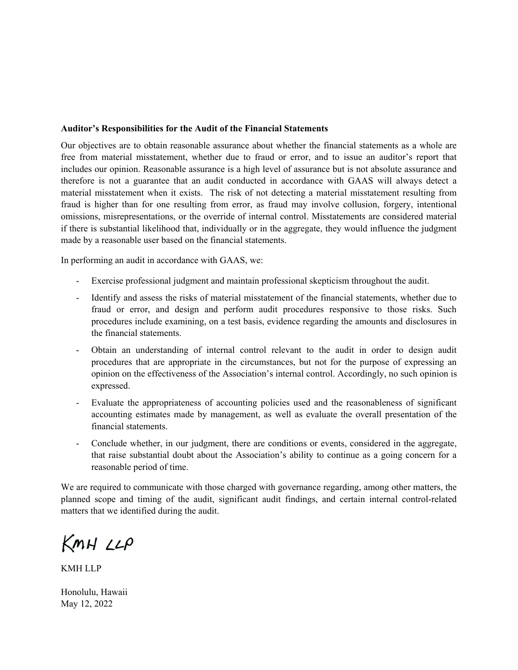#### **Auditor's Responsibilities for the Audit of the Financial Statements**

Our objectives are to obtain reasonable assurance about whether the financial statements as a whole are free from material misstatement, whether due to fraud or error, and to issue an auditor's report that includes our opinion. Reasonable assurance is a high level of assurance but is not absolute assurance and therefore is not a guarantee that an audit conducted in accordance with GAAS will always detect a material misstatement when it exists. The risk of not detecting a material misstatement resulting from fraud is higher than for one resulting from error, as fraud may involve collusion, forgery, intentional omissions, misrepresentations, or the override of internal control. Misstatements are considered material if there is substantial likelihood that, individually or in the aggregate, they would influence the judgment made by a reasonable user based on the financial statements.

In performing an audit in accordance with GAAS, we:

- Exercise professional judgment and maintain professional skepticism throughout the audit.
- Identify and assess the risks of material misstatement of the financial statements, whether due to fraud or error, and design and perform audit procedures responsive to those risks. Such procedures include examining, on a test basis, evidence regarding the amounts and disclosures in the financial statements.
- Obtain an understanding of internal control relevant to the audit in order to design audit procedures that are appropriate in the circumstances, but not for the purpose of expressing an opinion on the effectiveness of the Association's internal control. Accordingly, no such opinion is expressed.
- Evaluate the appropriateness of accounting policies used and the reasonableness of significant accounting estimates made by management, as well as evaluate the overall presentation of the financial statements.
- Conclude whether, in our judgment, there are conditions or events, considered in the aggregate, that raise substantial doubt about the Association's ability to continue as a going concern for a reasonable period of time.

We are required to communicate with those charged with governance regarding, among other matters, the planned scope and timing of the audit, significant audit findings, and certain internal control-related matters that we identified during the audit.

KMH LLP

KMH LLP

Honolulu, Hawaii May 12, 2022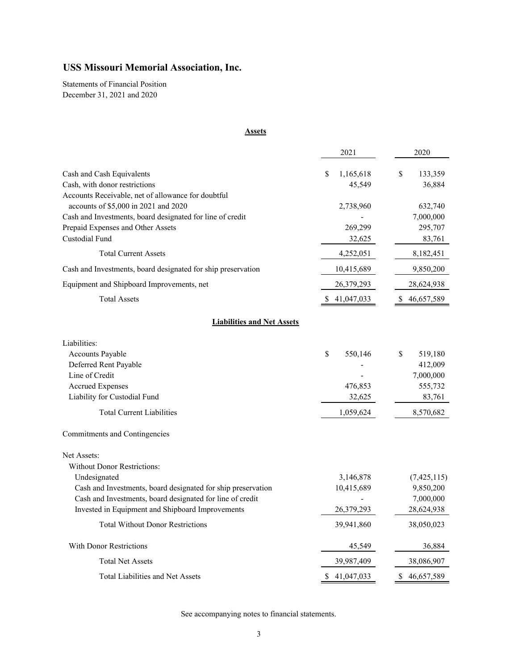Statements of Financial Position December 31, 2021 and 2020

## 2021 2020 Cash and Cash Equivalents **1,165,618** \$ 1,165,618 \$ 133,359 Cash, with donor restrictions  $45.549$   $36.884$ Accounts Receivable, net of allowance for doubtful accounts of \$5,000 in 2021 and 2020 2,738,960 632,740 Cash and Investments, board designated for line of credit - 7,000,000 Prepaid Expenses and Other Assets 269,299 295,707 Custodial Fund 32,625 83,761 Total Current Assets 4,252,051 8,182,451 Cash and Investments, board designated for ship preservation 10,415,689 9,850,200 Equipment and Shipboard Improvements, net 26,379,293 28,624,938 Total Assets **41,047,033** \$ 46,657,589 Liabilities: Accounts Payable 550,146 \$ 519,180 Deferred Rent Payable 412,009 Line of Credit  $\overline{7,000,000}$ Accrued Expenses 555,732 Liability for Custodial Fund 32,625 83,761 Total Current Liabilities 1,059,624 8,570,682 Commitments and Contingencies Net Assets: Without Donor Restrictions: Undesignated 3,146,878 (7,425,115) Cash and Investments, board designated for ship preservation 10,415,689 9,850,200 Cash and Investments, board designated for line of credit  $\qquad -$  7,000,000 Invested in Equipment and Shipboard Improvements 26,379,293 28,624,938 Total Without Donor Restrictions 39,941,860 38,050,023 With Donor Restrictions 36,884 Total Net Assets 39,987,409 38,086,907 Total Liabilities and Net Assets 41,047,033 \$46,657,589 **Assets Liabilities and Net Assets**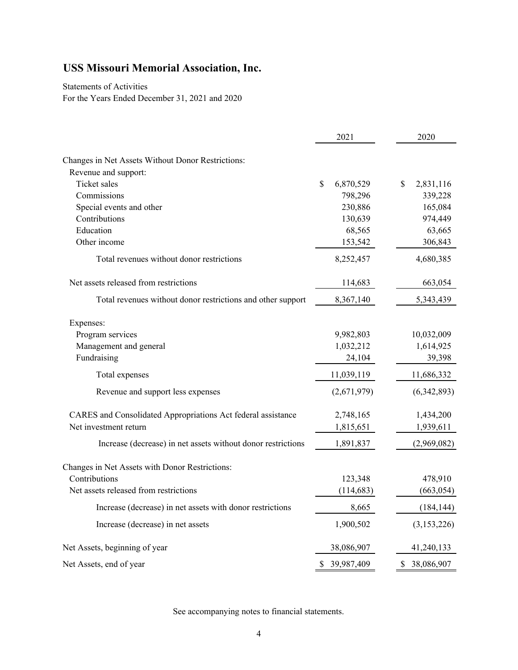Statements of Activities For the Years Ended December 31, 2021 and 2020

|                                                              | 2021             | 2020            |
|--------------------------------------------------------------|------------------|-----------------|
| Changes in Net Assets Without Donor Restrictions:            |                  |                 |
| Revenue and support:                                         |                  |                 |
| Ticket sales                                                 | \$<br>6,870,529  | \$<br>2,831,116 |
| Commissions                                                  | 798,296          | 339,228         |
| Special events and other                                     | 230,886          | 165,084         |
| Contributions                                                | 130,639          | 974,449         |
| Education                                                    | 68,565           | 63,665          |
| Other income                                                 | 153,542          | 306,843         |
| Total revenues without donor restrictions                    | 8,252,457        | 4,680,385       |
| Net assets released from restrictions                        | 114,683          | 663,054         |
| Total revenues without donor restrictions and other support  | 8,367,140        | 5,343,439       |
| Expenses:                                                    |                  |                 |
| Program services                                             | 9,982,803        | 10,032,009      |
| Management and general                                       | 1,032,212        | 1,614,925       |
| Fundraising                                                  | 24,104           | 39,398          |
| Total expenses                                               | 11,039,119       | 11,686,332      |
| Revenue and support less expenses                            | (2,671,979)      | (6,342,893)     |
| CARES and Consolidated Appropriations Act federal assistance | 2,748,165        | 1,434,200       |
| Net investment return                                        | 1,815,651        | 1,939,611       |
| Increase (decrease) in net assets without donor restrictions | 1,891,837        | (2,969,082)     |
| Changes in Net Assets with Donor Restrictions:               |                  |                 |
| Contributions                                                | 123,348          | 478,910         |
| Net assets released from restrictions                        | (114, 683)       | (663, 054)      |
| Increase (decrease) in net assets with donor restrictions    | 8,665            | (184, 144)      |
| Increase (decrease) in net assets                            | 1,900,502        | (3,153,226)     |
| Net Assets, beginning of year                                | 38,086,907       | 41,240,133      |
| Net Assets, end of year                                      | \$<br>39,987,409 | \$ 38,086,907   |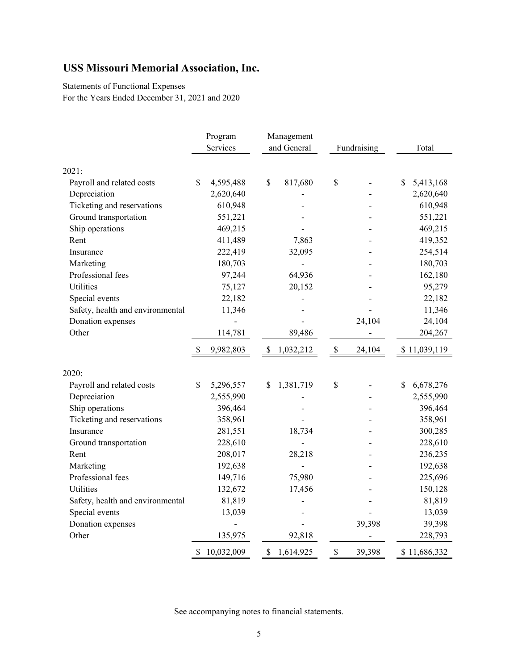Statements of Functional Expenses For the Years Ended December 31, 2021 and 2020

|                                  |    | Program    |              | Management  |      |             |                 |
|----------------------------------|----|------------|--------------|-------------|------|-------------|-----------------|
|                                  |    | Services   |              | and General |      | Fundraising | Total           |
|                                  |    |            |              |             |      |             |                 |
| 2021:                            |    |            |              |             |      |             |                 |
| Payroll and related costs        | \$ | 4,595,488  | \$           | 817,680     | \$   |             | \$<br>5,413,168 |
| Depreciation                     |    | 2,620,640  |              |             |      |             | 2,620,640       |
| Ticketing and reservations       |    | 610,948    |              |             |      |             | 610,948         |
| Ground transportation            |    | 551,221    |              |             |      |             | 551,221         |
| Ship operations                  |    | 469,215    |              |             |      |             | 469,215         |
| Rent                             |    | 411,489    |              | 7,863       |      |             | 419,352         |
| Insurance                        |    | 222,419    |              | 32,095      |      |             | 254,514         |
| Marketing                        |    | 180,703    |              |             |      |             | 180,703         |
| Professional fees                |    | 97,244     |              | 64,936      |      |             | 162,180         |
| <b>Utilities</b>                 |    | 75,127     |              | 20,152      |      |             | 95,279          |
| Special events                   |    | 22,182     |              |             |      |             | 22,182          |
| Safety, health and environmental |    | 11,346     |              |             |      |             | 11,346          |
| Donation expenses                |    |            |              |             |      | 24,104      | 24,104          |
| Other                            |    | 114,781    |              | 89,486      |      |             | 204,267         |
|                                  | -S | 9,982,803  | $\mathbb{S}$ | 1,032,212   | $\$$ | 24,104      | \$11,039,119    |
| 2020:                            |    |            |              |             |      |             |                 |
| Payroll and related costs        | \$ | 5,296,557  | \$           | 1,381,719   | \$   |             | \$<br>6,678,276 |
| Depreciation                     |    | 2,555,990  |              |             |      |             | 2,555,990       |
| Ship operations                  |    | 396,464    |              |             |      |             | 396,464         |
| Ticketing and reservations       |    | 358,961    |              |             |      |             | 358,961         |
| Insurance                        |    | 281,551    |              | 18,734      |      |             | 300,285         |
| Ground transportation            |    | 228,610    |              |             |      |             | 228,610         |
| Rent                             |    | 208,017    |              | 28,218      |      |             | 236,235         |
| Marketing                        |    | 192,638    |              |             |      |             | 192,638         |
| Professional fees                |    | 149,716    |              | 75,980      |      |             | 225,696         |
| Utilities                        |    | 132,672    |              | 17,456      |      |             | 150,128         |
| Safety, health and environmental |    | 81,819     |              |             |      |             | 81,819          |
| Special events                   |    | 13,039     |              |             |      |             | 13,039          |
| Donation expenses                |    |            |              |             |      | 39,398      | 39,398          |
| Other                            |    | 135,975    |              | 92,818      |      |             | 228,793         |
|                                  | \$ | 10,032,009 | $\mathbb{S}$ | 1,614,925   | \$   | 39,398      | \$11,686,332    |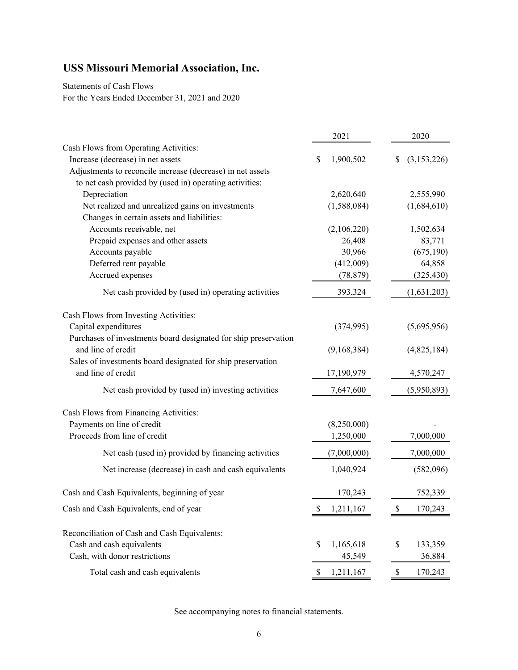Statements of Cash Flows For the Years Ended December 31, 2021 and 2020

|                                                                 | 2021                | 2020             |
|-----------------------------------------------------------------|---------------------|------------------|
| Cash Flows from Operating Activities:                           |                     |                  |
| Increase (decrease) in net assets                               | 1,900,502<br>\$     | (3,153,226)<br>S |
| Adjustments to reconcile increase (decrease) in net assets      |                     |                  |
| to net cash provided by (used in) operating activities:         |                     |                  |
| Depreciation                                                    | 2,620,640           | 2,555,990        |
| Net realized and unrealized gains on investments                | (1,588,084)         | (1,684,610)      |
| Changes in certain assets and liabilities:                      |                     |                  |
| Accounts receivable, net                                        | (2,106,220)         | 1,502,634        |
| Prepaid expenses and other assets                               | 26,408              | 83,771           |
| Accounts payable                                                | 30,966              | (675, 190)       |
| Deferred rent payable                                           | (412,009)           | 64,858           |
| Accrued expenses                                                | (78, 879)           | (325, 430)       |
| Net cash provided by (used in) operating activities             | 393,324             | (1,631,203)      |
| Cash Flows from Investing Activities:                           |                     |                  |
| Capital expenditures                                            | (374,995)           | (5,695,956)      |
| Purchases of investments board designated for ship preservation |                     |                  |
| and line of credit                                              | (9,168,384)         | (4,825,184)      |
| Sales of investments board designated for ship preservation     |                     |                  |
| and line of credit                                              | 17,190,979          | 4,570,247        |
| Net cash provided by (used in) investing activities             | 7,647,600           | (5,950,893)      |
| Cash Flows from Financing Activities:                           |                     |                  |
| Payments on line of credit                                      | (8,250,000)         |                  |
| Proceeds from line of credit                                    | 1,250,000           | 7,000,000        |
| Net cash (used in) provided by financing activities             | (7,000,000)         | 7,000,000        |
| Net increase (decrease) in cash and cash equivalents            | 1,040,924           | (582,096)        |
| Cash and Cash Equivalents, beginning of year                    | 170,243             | 752,339          |
| Cash and Cash Equivalents, end of year                          | $\frac{$1,211,167}$ | 170,243          |
| Reconciliation of Cash and Cash Equivalents:                    |                     |                  |
| Cash and cash equivalents                                       | 1,165,618<br>\$     | \$<br>133,359    |
| Cash, with donor restrictions                                   | 45,549              | 36,884           |
| Total cash and cash equivalents                                 | 1,211,167<br>\$     | \$<br>170,243    |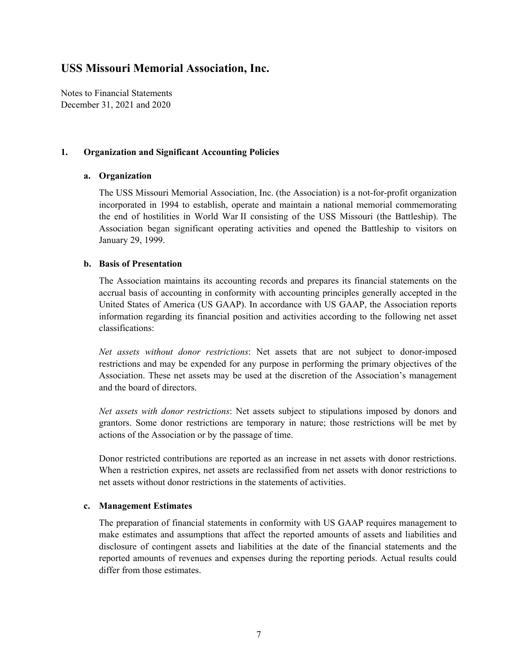Notes to Financial Statements December 31, 2021 and 2020

#### **1. Organization and Significant Accounting Policies**

#### **a. Organization**

The USS Missouri Memorial Association, Inc. (the Association) is a not-for-profit organization incorporated in 1994 to establish, operate and maintain a national memorial commemorating the end of hostilities in World War II consisting of the USS Missouri (the Battleship). The Association began significant operating activities and opened the Battleship to visitors on January 29, 1999.

#### **b. Basis of Presentation**

The Association maintains its accounting records and prepares its financial statements on the accrual basis of accounting in conformity with accounting principles generally accepted in the United States of America (US GAAP). In accordance with US GAAP, the Association reports information regarding its financial position and activities according to the following net asset classifications:

*Net assets without donor restrictions*: Net assets that are not subject to donor-imposed restrictions and may be expended for any purpose in performing the primary objectives of the Association. These net assets may be used at the discretion of the Association's management and the board of directors.

*Net assets with donor restrictions*: Net assets subject to stipulations imposed by donors and grantors. Some donor restrictions are temporary in nature; those restrictions will be met by actions of the Association or by the passage of time.

Donor restricted contributions are reported as an increase in net assets with donor restrictions. When a restriction expires, net assets are reclassified from net assets with donor restrictions to net assets without donor restrictions in the statements of activities.

#### **c. Management Estimates**

The preparation of financial statements in conformity with US GAAP requires management to make estimates and assumptions that affect the reported amounts of assets and liabilities and disclosure of contingent assets and liabilities at the date of the financial statements and the reported amounts of revenues and expenses during the reporting periods. Actual results could differ from those estimates.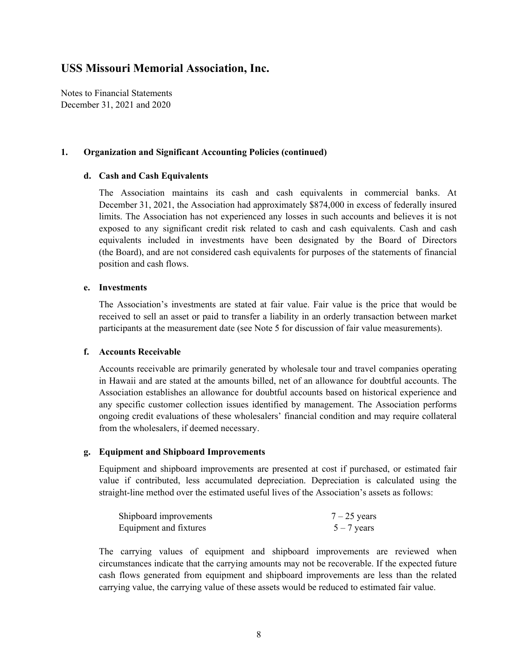Notes to Financial Statements December 31, 2021 and 2020

#### **1. Organization and Significant Accounting Policies (continued)**

#### **d. Cash and Cash Equivalents**

The Association maintains its cash and cash equivalents in commercial banks. At December 31, 2021, the Association had approximately \$874,000 in excess of federally insured limits. The Association has not experienced any losses in such accounts and believes it is not exposed to any significant credit risk related to cash and cash equivalents. Cash and cash equivalents included in investments have been designated by the Board of Directors (the Board), and are not considered cash equivalents for purposes of the statements of financial position and cash flows.

#### **e. Investments**

The Association's investments are stated at fair value. Fair value is the price that would be received to sell an asset or paid to transfer a liability in an orderly transaction between market participants at the measurement date (see Note 5 for discussion of fair value measurements).

#### **f. Accounts Receivable**

Accounts receivable are primarily generated by wholesale tour and travel companies operating in Hawaii and are stated at the amounts billed, net of an allowance for doubtful accounts. The Association establishes an allowance for doubtful accounts based on historical experience and any specific customer collection issues identified by management. The Association performs ongoing credit evaluations of these wholesalers' financial condition and may require collateral from the wholesalers, if deemed necessary.

#### **g. Equipment and Shipboard Improvements**

Equipment and shipboard improvements are presented at cost if purchased, or estimated fair value if contributed, less accumulated depreciation. Depreciation is calculated using the straight-line method over the estimated useful lives of the Association's assets as follows:

| Shipboard improvements | $7 - 25$ years |
|------------------------|----------------|
| Equipment and fixtures | $5 - 7$ years  |

The carrying values of equipment and shipboard improvements are reviewed when circumstances indicate that the carrying amounts may not be recoverable. If the expected future cash flows generated from equipment and shipboard improvements are less than the related carrying value, the carrying value of these assets would be reduced to estimated fair value.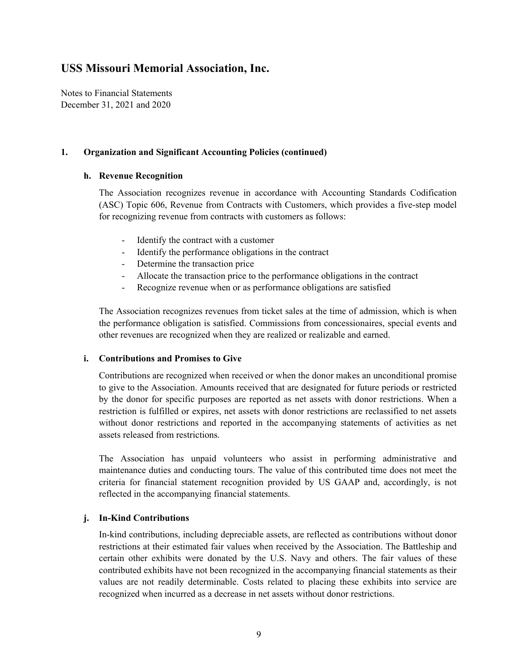Notes to Financial Statements December 31, 2021 and 2020

#### **1. Organization and Significant Accounting Policies (continued)**

#### **h. Revenue Recognition**

The Association recognizes revenue in accordance with Accounting Standards Codification (ASC) Topic 606, Revenue from Contracts with Customers, which provides a five-step model for recognizing revenue from contracts with customers as follows:

- Identify the contract with a customer
- Identify the performance obligations in the contract
- Determine the transaction price
- Allocate the transaction price to the performance obligations in the contract
- Recognize revenue when or as performance obligations are satisfied

The Association recognizes revenues from ticket sales at the time of admission, which is when the performance obligation is satisfied. Commissions from concessionaires, special events and other revenues are recognized when they are realized or realizable and earned.

#### **i. Contributions and Promises to Give**

Contributions are recognized when received or when the donor makes an unconditional promise to give to the Association. Amounts received that are designated for future periods or restricted by the donor for specific purposes are reported as net assets with donor restrictions. When a restriction is fulfilled or expires, net assets with donor restrictions are reclassified to net assets without donor restrictions and reported in the accompanying statements of activities as net assets released from restrictions.

The Association has unpaid volunteers who assist in performing administrative and maintenance duties and conducting tours. The value of this contributed time does not meet the criteria for financial statement recognition provided by US GAAP and, accordingly, is not reflected in the accompanying financial statements.

#### **j. In-Kind Contributions**

In-kind contributions, including depreciable assets, are reflected as contributions without donor restrictions at their estimated fair values when received by the Association. The Battleship and certain other exhibits were donated by the U.S. Navy and others. The fair values of these contributed exhibits have not been recognized in the accompanying financial statements as their values are not readily determinable. Costs related to placing these exhibits into service are recognized when incurred as a decrease in net assets without donor restrictions.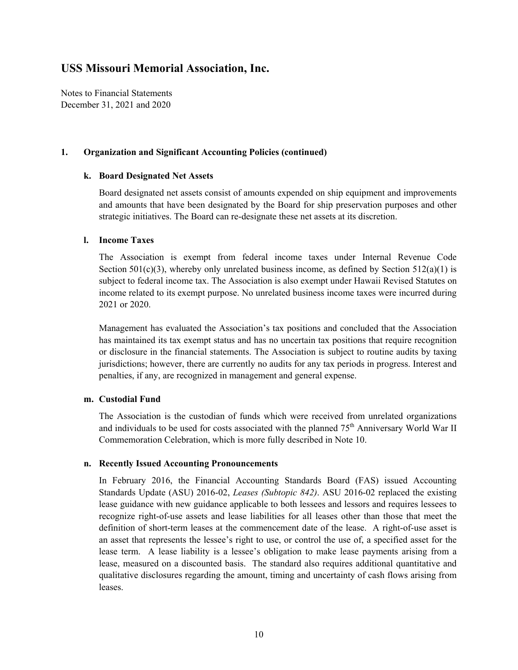Notes to Financial Statements December 31, 2021 and 2020

#### **1. Organization and Significant Accounting Policies (continued)**

#### **k. Board Designated Net Assets**

Board designated net assets consist of amounts expended on ship equipment and improvements and amounts that have been designated by the Board for ship preservation purposes and other strategic initiatives. The Board can re-designate these net assets at its discretion.

#### **l. Income Taxes**

The Association is exempt from federal income taxes under Internal Revenue Code Section 501(c)(3), whereby only unrelated business income, as defined by Section 512(a)(1) is subject to federal income tax. The Association is also exempt under Hawaii Revised Statutes on income related to its exempt purpose. No unrelated business income taxes were incurred during 2021 or 2020.

Management has evaluated the Association's tax positions and concluded that the Association has maintained its tax exempt status and has no uncertain tax positions that require recognition or disclosure in the financial statements. The Association is subject to routine audits by taxing jurisdictions; however, there are currently no audits for any tax periods in progress. Interest and penalties, if any, are recognized in management and general expense.

#### **m. Custodial Fund**

The Association is the custodian of funds which were received from unrelated organizations and individuals to be used for costs associated with the planned 75<sup>th</sup> Anniversary World War II Commemoration Celebration, which is more fully described in Note 10.

#### **n. Recently Issued Accounting Pronouncements**

In February 2016, the Financial Accounting Standards Board (FAS) issued Accounting Standards Update (ASU) 2016-02, *Leases (Subtopic 842)*. ASU 2016-02 replaced the existing lease guidance with new guidance applicable to both lessees and lessors and requires lessees to recognize right-of-use assets and lease liabilities for all leases other than those that meet the definition of short-term leases at the commencement date of the lease. A right-of-use asset is an asset that represents the lessee's right to use, or control the use of, a specified asset for the lease term. A lease liability is a lessee's obligation to make lease payments arising from a lease, measured on a discounted basis. The standard also requires additional quantitative and qualitative disclosures regarding the amount, timing and uncertainty of cash flows arising from leases.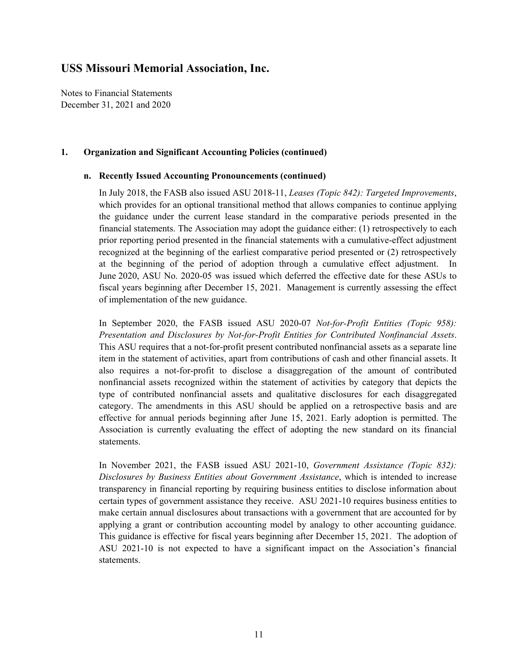Notes to Financial Statements December 31, 2021 and 2020

#### **1. Organization and Significant Accounting Policies (continued)**

#### **n. Recently Issued Accounting Pronouncements (continued)**

In July 2018, the FASB also issued ASU 2018-11, *Leases (Topic 842): Targeted Improvements*, which provides for an optional transitional method that allows companies to continue applying the guidance under the current lease standard in the comparative periods presented in the financial statements. The Association may adopt the guidance either: (1) retrospectively to each prior reporting period presented in the financial statements with a cumulative-effect adjustment recognized at the beginning of the earliest comparative period presented or (2) retrospectively at the beginning of the period of adoption through a cumulative effect adjustment. In June 2020, ASU No. 2020-05 was issued which deferred the effective date for these ASUs to fiscal years beginning after December 15, 2021. Management is currently assessing the effect of implementation of the new guidance.

In September 2020, the FASB issued ASU 2020-07 *Not-for-Profit Entities (Topic 958): Presentation and Disclosures by Not-for-Profit Entities for Contributed Nonfinancial Assets*. This ASU requires that a not-for-profit present contributed nonfinancial assets as a separate line item in the statement of activities, apart from contributions of cash and other financial assets. It also requires a not-for-profit to disclose a disaggregation of the amount of contributed nonfinancial assets recognized within the statement of activities by category that depicts the type of contributed nonfinancial assets and qualitative disclosures for each disaggregated category. The amendments in this ASU should be applied on a retrospective basis and are effective for annual periods beginning after June 15, 2021. Early adoption is permitted. The Association is currently evaluating the effect of adopting the new standard on its financial statements.

In November 2021, the FASB issued ASU 2021-10, *Government Assistance (Topic 832): Disclosures by Business Entities about Government Assistance*, which is intended to increase transparency in financial reporting by requiring business entities to disclose information about certain types of government assistance they receive. ASU 2021-10 requires business entities to make certain annual disclosures about transactions with a government that are accounted for by applying a grant or contribution accounting model by analogy to other accounting guidance. This guidance is effective for fiscal years beginning after December 15, 2021. The adoption of ASU 2021-10 is not expected to have a significant impact on the Association's financial statements.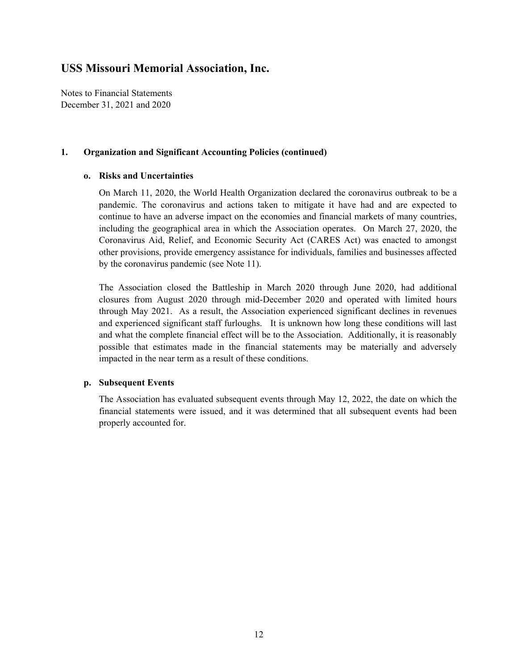Notes to Financial Statements December 31, 2021 and 2020

#### **1. Organization and Significant Accounting Policies (continued)**

#### **o. Risks and Uncertainties**

On March 11, 2020, the World Health Organization declared the coronavirus outbreak to be a pandemic. The coronavirus and actions taken to mitigate it have had and are expected to continue to have an adverse impact on the economies and financial markets of many countries, including the geographical area in which the Association operates. On March 27, 2020, the Coronavirus Aid, Relief, and Economic Security Act (CARES Act) was enacted to amongst other provisions, provide emergency assistance for individuals, families and businesses affected by the coronavirus pandemic (see Note 11).

The Association closed the Battleship in March 2020 through June 2020, had additional closures from August 2020 through mid-December 2020 and operated with limited hours through May 2021. As a result, the Association experienced significant declines in revenues and experienced significant staff furloughs. It is unknown how long these conditions will last and what the complete financial effect will be to the Association. Additionally, it is reasonably possible that estimates made in the financial statements may be materially and adversely impacted in the near term as a result of these conditions.

#### **p. Subsequent Events**

The Association has evaluated subsequent events through May 12, 2022, the date on which the financial statements were issued, and it was determined that all subsequent events had been properly accounted for.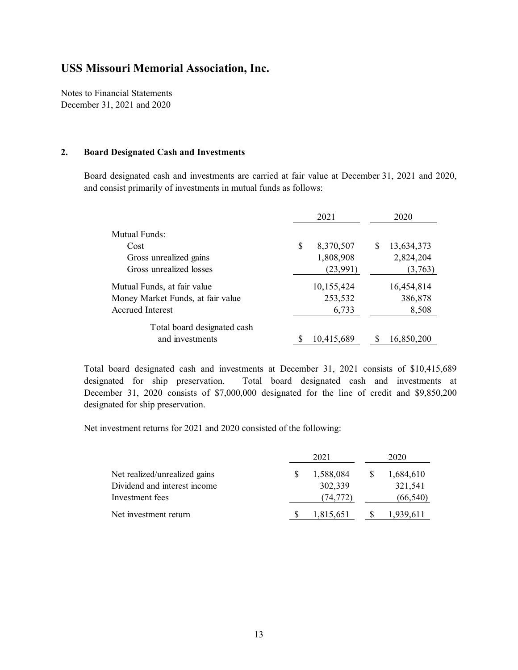Notes to Financial Statements December 31, 2021 and 2020

#### **2. Board Designated Cash and Investments**

Board designated cash and investments are carried at fair value at December 31, 2021 and 2020, and consist primarily of investments in mutual funds as follows:

|                                   | 2021 |            |   | 2020       |  |
|-----------------------------------|------|------------|---|------------|--|
| Mutual Funds:                     |      |            |   |            |  |
| Cost                              | \$   | 8,370,507  | S | 13,634,373 |  |
| Gross unrealized gains            |      | 1,808,908  |   | 2,824,204  |  |
| Gross unrealized losses           |      | (23,991)   |   | (3,763)    |  |
| Mutual Funds, at fair value       |      | 10,155,424 |   | 16,454,814 |  |
| Money Market Funds, at fair value |      | 253,532    |   | 386,878    |  |
| <b>Accrued Interest</b>           |      | 6,733      |   | 8,508      |  |
| Total board designated cash       |      |            |   |            |  |
| and investments                   |      | 10,415,689 |   | 16,850,200 |  |

Total board designated cash and investments at December 31, 2021 consists of \$10,415,689 designated for ship preservation. Total board designated cash and investments at December 31, 2020 consists of \$7,000,000 designated for the line of credit and \$9,850,200 designated for ship preservation.

Net investment returns for 2021 and 2020 consisted of the following:

|                                                               | 2021 |                      |              | 2020                 |
|---------------------------------------------------------------|------|----------------------|--------------|----------------------|
| Net realized/unrealized gains<br>Dividend and interest income |      | 1,588,084<br>302,339 | <sup>8</sup> | 1,684,610<br>321,541 |
| Investment fees                                               |      | (74, 772)            |              | (66, 540)            |
| Net investment return                                         |      | 1,815,651            |              | 1,939,611            |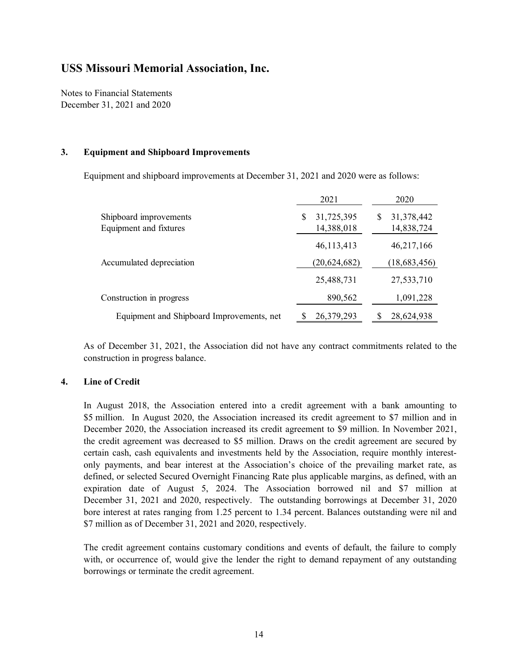Notes to Financial Statements December 31, 2021 and 2020

#### **3. Equipment and Shipboard Improvements**

Equipment and shipboard improvements at December 31, 2021 and 2020 were as follows:

|                                           | 2021            | 2020            |
|-------------------------------------------|-----------------|-----------------|
| Shipboard improvements                    | 31,725,395<br>S | 31,378,442<br>S |
| Equipment and fixtures                    | 14,388,018      | 14,838,724      |
|                                           | 46,113,413      | 46,217,166      |
| Accumulated depreciation                  | (20, 624, 682)  | (18, 683, 456)  |
|                                           | 25,488,731      | 27,533,710      |
| Construction in progress                  | 890,562         | 1,091,228       |
| Equipment and Shipboard Improvements, net | 26,379,293      | 28,624,938      |

As of December 31, 2021, the Association did not have any contract commitments related to the construction in progress balance.

#### **4. Line of Credit**

In August 2018, the Association entered into a credit agreement with a bank amounting to \$5 million. In August 2020, the Association increased its credit agreement to \$7 million and in December 2020, the Association increased its credit agreement to \$9 million. In November 2021, the credit agreement was decreased to \$5 million. Draws on the credit agreement are secured by certain cash, cash equivalents and investments held by the Association, require monthly interestonly payments, and bear interest at the Association's choice of the prevailing market rate, as defined, or selected Secured Overnight Financing Rate plus applicable margins, as defined, with an expiration date of August 5, 2024. The Association borrowed nil and \$7 million at December 31, 2021 and 2020, respectively. The outstanding borrowings at December 31, 2020 bore interest at rates ranging from 1.25 percent to 1.34 percent. Balances outstanding were nil and \$7 million as of December 31, 2021 and 2020, respectively.

The credit agreement contains customary conditions and events of default, the failure to comply with, or occurrence of, would give the lender the right to demand repayment of any outstanding borrowings or terminate the credit agreement.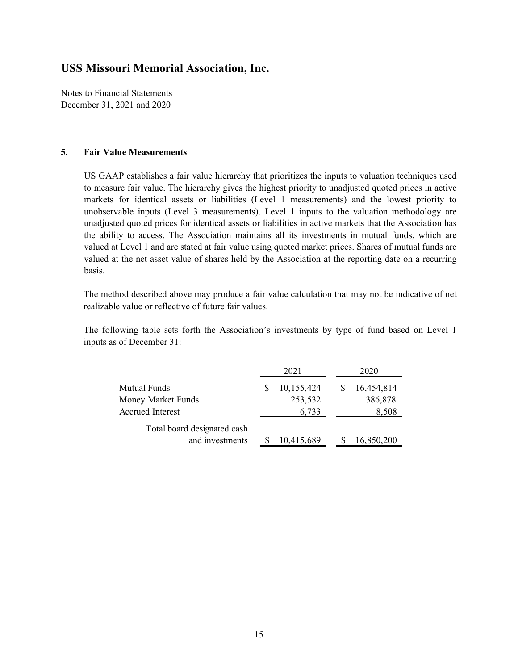Notes to Financial Statements December 31, 2021 and 2020

#### **5. Fair Value Measurements**

US GAAP establishes a fair value hierarchy that prioritizes the inputs to valuation techniques used to measure fair value. The hierarchy gives the highest priority to unadjusted quoted prices in active markets for identical assets or liabilities (Level 1 measurements) and the lowest priority to unobservable inputs (Level 3 measurements). Level 1 inputs to the valuation methodology are unadjusted quoted prices for identical assets or liabilities in active markets that the Association has the ability to access. The Association maintains all its investments in mutual funds, which are valued at Level 1 and are stated at fair value using quoted market prices. Shares of mutual funds are valued at the net asset value of shares held by the Association at the reporting date on a recurring basis.

The method described above may produce a fair value calculation that may not be indicative of net realizable value or reflective of future fair values.

The following table sets forth the Association's investments by type of fund based on Level 1 inputs as of December 31:

|                                                        | 2021 |                                |     | 2020                           |
|--------------------------------------------------------|------|--------------------------------|-----|--------------------------------|
| Mutual Funds<br>Money Market Funds<br>Accrued Interest |      | 10,155,424<br>253,532<br>6,733 | \$. | 16,454,814<br>386,878<br>8,508 |
| Total board designated cash<br>and investments         |      | 10,415,689                     |     | 16,850,200                     |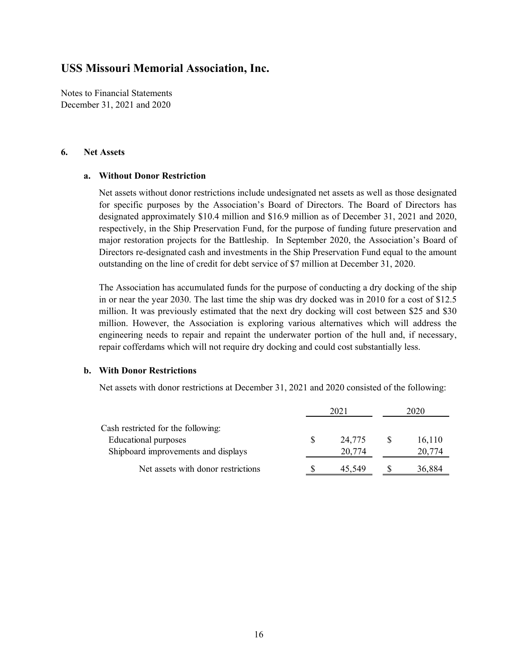Notes to Financial Statements December 31, 2021 and 2020

#### **6. Net Assets**

#### **a. Without Donor Restriction**

Net assets without donor restrictions include undesignated net assets as well as those designated for specific purposes by the Association's Board of Directors. The Board of Directors has designated approximately \$10.4 million and \$16.9 million as of December 31, 2021 and 2020, respectively, in the Ship Preservation Fund, for the purpose of funding future preservation and major restoration projects for the Battleship. In September 2020, the Association's Board of Directors re-designated cash and investments in the Ship Preservation Fund equal to the amount outstanding on the line of credit for debt service of \$7 million at December 31, 2020.

The Association has accumulated funds for the purpose of conducting a dry docking of the ship in or near the year 2030. The last time the ship was dry docked was in 2010 for a cost of \$12.5 million. It was previously estimated that the next dry docking will cost between \$25 and \$30 million. However, the Association is exploring various alternatives which will address the engineering needs to repair and repaint the underwater portion of the hull and, if necessary, repair cofferdams which will not require dry docking and could cost substantially less.

#### **b. With Donor Restrictions**

Net assets with donor restrictions at December 31, 2021 and 2020 consisted of the following:

|                                     | 2021 |        |          | 2020   |
|-------------------------------------|------|--------|----------|--------|
| Cash restricted for the following:  |      |        |          |        |
| <b>Educational purposes</b>         |      | 24,775 | <b>S</b> | 16,110 |
| Shipboard improvements and displays |      | 20,774 |          | 20,774 |
| Net assets with donor restrictions  |      | 45.549 |          | 36,884 |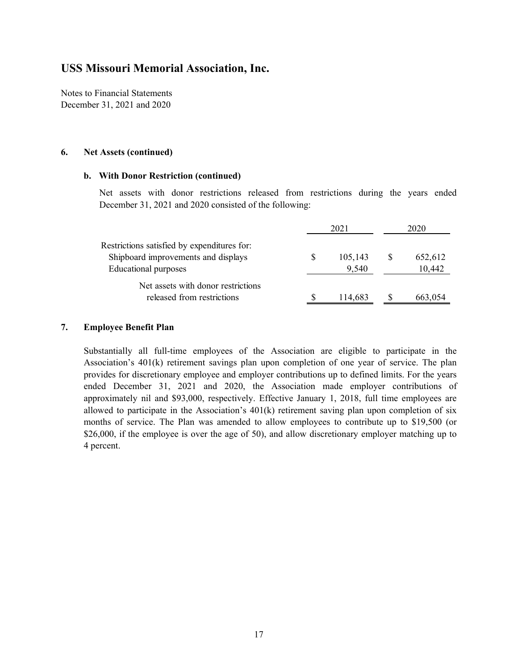Notes to Financial Statements December 31, 2021 and 2020

#### **6. Net Assets (continued)**

#### **b. With Donor Restriction (continued)**

Net assets with donor restrictions released from restrictions during the years ended December 31, 2021 and 2020 consisted of the following:

|                                                                                                                   | 2021             | 2020              |  |
|-------------------------------------------------------------------------------------------------------------------|------------------|-------------------|--|
| Restrictions satisfied by expenditures for:<br>Shipboard improvements and displays<br><b>Educational purposes</b> | 105,143<br>9,540 | 652,612<br>10,442 |  |
| Net assets with donor restrictions<br>released from restrictions                                                  | 114,683          | 663,054           |  |

#### **7. Employee Benefit Plan**

Substantially all full-time employees of the Association are eligible to participate in the Association's 401(k) retirement savings plan upon completion of one year of service. The plan provides for discretionary employee and employer contributions up to defined limits. For the years ended December 31, 2021 and 2020, the Association made employer contributions of approximately nil and \$93,000, respectively. Effective January 1, 2018, full time employees are allowed to participate in the Association's 401(k) retirement saving plan upon completion of six months of service. The Plan was amended to allow employees to contribute up to \$19,500 (or \$26,000, if the employee is over the age of 50), and allow discretionary employer matching up to 4 percent.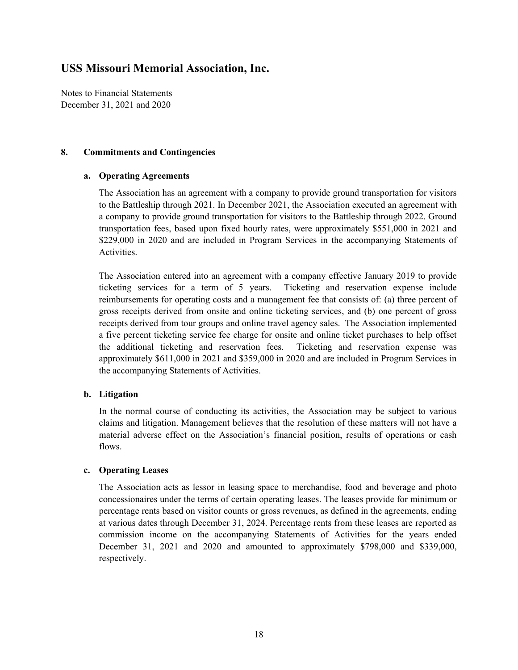Notes to Financial Statements December 31, 2021 and 2020

#### **8. Commitments and Contingencies**

#### **a. Operating Agreements**

The Association has an agreement with a company to provide ground transportation for visitors to the Battleship through 2021. In December 2021, the Association executed an agreement with a company to provide ground transportation for visitors to the Battleship through 2022. Ground transportation fees, based upon fixed hourly rates, were approximately \$551,000 in 2021 and \$229,000 in 2020 and are included in Program Services in the accompanying Statements of Activities.

The Association entered into an agreement with a company effective January 2019 to provide ticketing services for a term of 5 years. Ticketing and reservation expense include reimbursements for operating costs and a management fee that consists of: (a) three percent of gross receipts derived from onsite and online ticketing services, and (b) one percent of gross receipts derived from tour groups and online travel agency sales. The Association implemented a five percent ticketing service fee charge for onsite and online ticket purchases to help offset the additional ticketing and reservation fees. Ticketing and reservation expense was approximately \$611,000 in 2021 and \$359,000 in 2020 and are included in Program Services in the accompanying Statements of Activities.

#### **b. Litigation**

In the normal course of conducting its activities, the Association may be subject to various claims and litigation. Management believes that the resolution of these matters will not have a material adverse effect on the Association's financial position, results of operations or cash flows.

#### **c. Operating Leases**

The Association acts as lessor in leasing space to merchandise, food and beverage and photo concessionaires under the terms of certain operating leases. The leases provide for minimum or percentage rents based on visitor counts or gross revenues, as defined in the agreements, ending at various dates through December 31, 2024. Percentage rents from these leases are reported as commission income on the accompanying Statements of Activities for the years ended December 31, 2021 and 2020 and amounted to approximately \$798,000 and \$339,000, respectively.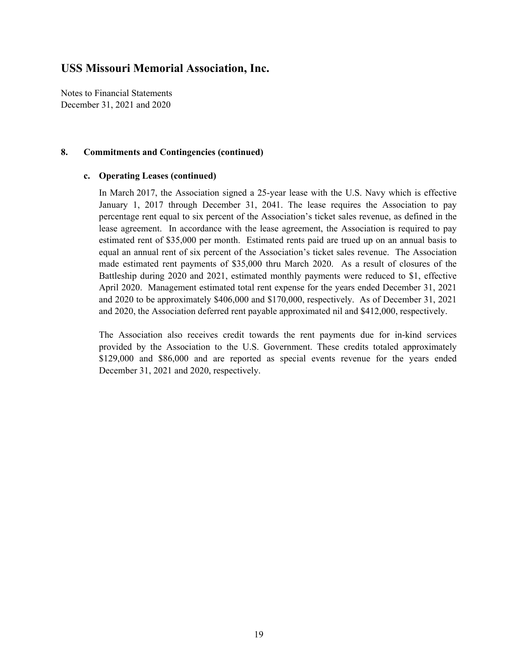Notes to Financial Statements December 31, 2021 and 2020

#### **8. Commitments and Contingencies (continued)**

#### **c. Operating Leases (continued)**

In March 2017, the Association signed a 25-year lease with the U.S. Navy which is effective January 1, 2017 through December 31, 2041. The lease requires the Association to pay percentage rent equal to six percent of the Association's ticket sales revenue, as defined in the lease agreement. In accordance with the lease agreement, the Association is required to pay estimated rent of \$35,000 per month. Estimated rents paid are trued up on an annual basis to equal an annual rent of six percent of the Association's ticket sales revenue. The Association made estimated rent payments of \$35,000 thru March 2020. As a result of closures of the Battleship during 2020 and 2021, estimated monthly payments were reduced to \$1, effective April 2020. Management estimated total rent expense for the years ended December 31, 2021 and 2020 to be approximately \$406,000 and \$170,000, respectively. As of December 31, 2021 and 2020, the Association deferred rent payable approximated nil and \$412,000, respectively.

The Association also receives credit towards the rent payments due for in-kind services provided by the Association to the U.S. Government. These credits totaled approximately \$129,000 and \$86,000 and are reported as special events revenue for the years ended December 31, 2021 and 2020, respectively.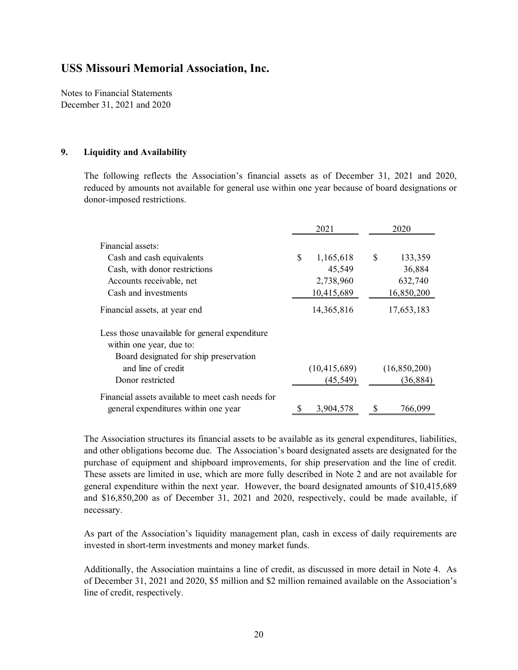Notes to Financial Statements December 31, 2021 and 2020

#### **9. Liquidity and Availability**

The following reflects the Association's financial assets as of December 31, 2021 and 2020, reduced by amounts not available for general use within one year because of board designations or donor-imposed restrictions.

|                                                                            | 2021 |                | 2020          |
|----------------------------------------------------------------------------|------|----------------|---------------|
| Financial assets:                                                          |      |                |               |
| Cash and cash equivalents                                                  | \$   | 1,165,618      | \$<br>133,359 |
| Cash, with donor restrictions                                              |      | 45,549         | 36,884        |
| Accounts receivable, net                                                   |      | 2,738,960      | 632,740       |
| Cash and investments                                                       |      | 10,415,689     | 16,850,200    |
| Financial assets, at year end                                              |      | 14, 365, 816   | 17,653,183    |
| Less those unavailable for general expenditure<br>within one year, due to: |      |                |               |
| Board designated for ship preservation                                     |      |                |               |
| and line of credit                                                         |      | (10, 415, 689) | (16,850,200)  |
| Donor restricted                                                           |      | (45, 549)      | (36, 884)     |
| Financial assets available to meet cash needs for                          |      |                |               |
| general expenditures within one year                                       |      | 3.904.578      | 766,099       |

The Association structures its financial assets to be available as its general expenditures, liabilities, and other obligations become due. The Association's board designated assets are designated for the purchase of equipment and shipboard improvements, for ship preservation and the line of credit. These assets are limited in use, which are more fully described in Note 2 and are not available for general expenditure within the next year. However, the board designated amounts of \$10,415,689 and \$16,850,200 as of December 31, 2021 and 2020, respectively, could be made available, if necessary.

As part of the Association's liquidity management plan, cash in excess of daily requirements are invested in short-term investments and money market funds.

Additionally, the Association maintains a line of credit, as discussed in more detail in Note 4. As of December 31, 2021 and 2020, \$5 million and \$2 million remained available on the Association's line of credit, respectively.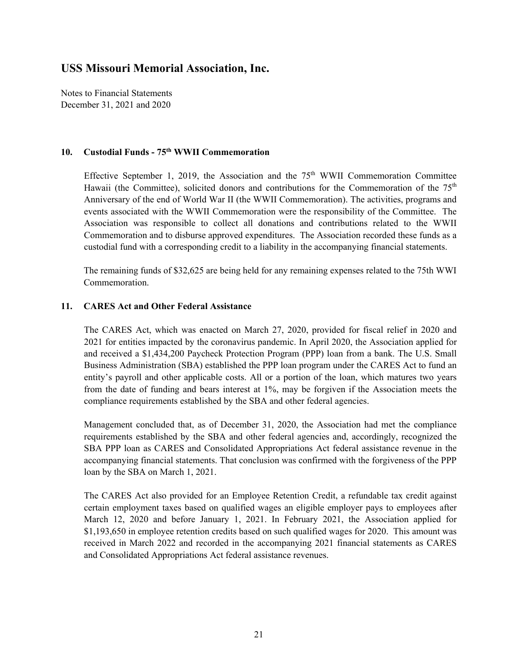Notes to Financial Statements December 31, 2021 and 2020

#### **10. Custodial Funds - 75th WWII Commemoration**

Effective September 1, 2019, the Association and the  $75<sup>th</sup>$  WWII Commemoration Committee Hawaii (the Committee), solicited donors and contributions for the Commemoration of the  $75<sup>th</sup>$ Anniversary of the end of World War II (the WWII Commemoration). The activities, programs and events associated with the WWII Commemoration were the responsibility of the Committee. The Association was responsible to collect all donations and contributions related to the WWII Commemoration and to disburse approved expenditures. The Association recorded these funds as a custodial fund with a corresponding credit to a liability in the accompanying financial statements.

The remaining funds of \$32,625 are being held for any remaining expenses related to the 75th WWI Commemoration.

#### **11. CARES Act and Other Federal Assistance**

The CARES Act, which was enacted on March 27, 2020, provided for fiscal relief in 2020 and 2021 for entities impacted by the coronavirus pandemic. In April 2020, the Association applied for and received a \$1,434,200 Paycheck Protection Program (PPP) loan from a bank. The U.S. Small Business Administration (SBA) established the PPP loan program under the CARES Act to fund an entity's payroll and other applicable costs. All or a portion of the loan, which matures two years from the date of funding and bears interest at 1%, may be forgiven if the Association meets the compliance requirements established by the SBA and other federal agencies.

Management concluded that, as of December 31, 2020, the Association had met the compliance requirements established by the SBA and other federal agencies and, accordingly, recognized the SBA PPP loan as CARES and Consolidated Appropriations Act federal assistance revenue in the accompanying financial statements. That conclusion was confirmed with the forgiveness of the PPP loan by the SBA on March 1, 2021.

The CARES Act also provided for an Employee Retention Credit, a refundable tax credit against certain employment taxes based on qualified wages an eligible employer pays to employees after March 12, 2020 and before January 1, 2021. In February 2021, the Association applied for \$1,193,650 in employee retention credits based on such qualified wages for 2020. This amount was received in March 2022 and recorded in the accompanying 2021 financial statements as CARES and Consolidated Appropriations Act federal assistance revenues.